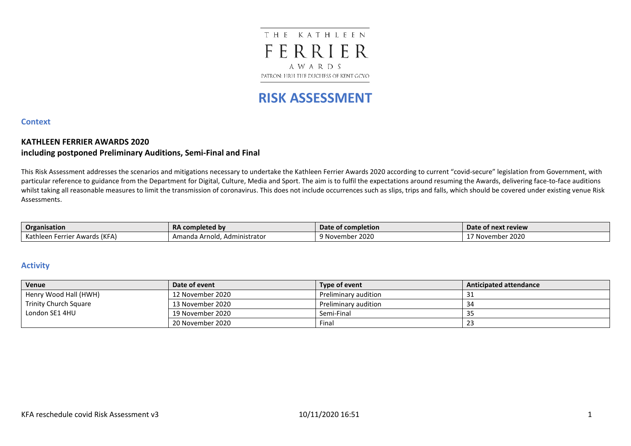## THE KATHLEEN FERRIER AWARDS PATRON: HRH THE DUCHESS OF KENT GCVO

# **RISK ASSESSMENT**

#### **Context**

#### **KATHLEEN FERRIER AWARDS 2020 including postponed Preliminary Auditions, Semi-Final and Final**

This Risk Assessment addresses the scenarios and mitigations necessary to undertake the Kathleen Ferrier Awards 2020 according to current "covid-secure" legislation from Government, with particular reference to guidance from the Department for Digital, Culture, Media and Sport. The aim is to fulfil the expectations around resuming the Awards, delivering face-to-face auditions whilst taking all reasonable measures to limit the transmission of coronavirus. This does not include occurrences such as slips, trips and falls, which should be covered under existing venue Risk Assessments.

| Organisation                         | <b>RA completed by</b>          | Date of completion   | Date of next review |
|--------------------------------------|---------------------------------|----------------------|---------------------|
| * Awards (KFA)<br>Kathleen<br>-errie | Amanda Arnold.<br>Administrator | 2020<br>ດ ^<br>vembe | 2020<br>November    |

#### **Activity**

| Venue                 | Date of event    | Type of event        | <b>Anticipated attendance</b> |
|-----------------------|------------------|----------------------|-------------------------------|
| Henry Wood Hall (HWH) | 12 November 2020 | Preliminary audition |                               |
| Trinity Church Square | 13 November 2020 | Preliminary audition | -34                           |
| London SE1 4HU        | 19 November 2020 | Semi-Final           |                               |
|                       | 20 November 2020 | Final                |                               |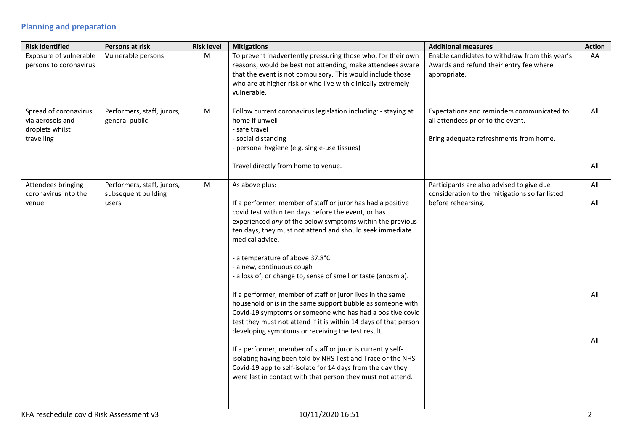## **Planning and preparation**

| Persons at risk                                            | <b>Risk level</b> | <b>Mitigations</b>                                                                                                                                                                                                                                                                                                                                                                                                                                                                                                                                                                                                                                                                                                                                                                                                                                                                                                                                                                             | <b>Additional measures</b>                                                                                                | <b>Action</b>            |
|------------------------------------------------------------|-------------------|------------------------------------------------------------------------------------------------------------------------------------------------------------------------------------------------------------------------------------------------------------------------------------------------------------------------------------------------------------------------------------------------------------------------------------------------------------------------------------------------------------------------------------------------------------------------------------------------------------------------------------------------------------------------------------------------------------------------------------------------------------------------------------------------------------------------------------------------------------------------------------------------------------------------------------------------------------------------------------------------|---------------------------------------------------------------------------------------------------------------------------|--------------------------|
| Vulnerable persons                                         | ${\sf M}$         | To prevent inadvertently pressuring those who, for their own<br>reasons, would be best not attending, make attendees aware<br>that the event is not compulsory. This would include those<br>who are at higher risk or who live with clinically extremely<br>vulnerable.                                                                                                                                                                                                                                                                                                                                                                                                                                                                                                                                                                                                                                                                                                                        | Enable candidates to withdraw from this year's<br>Awards and refund their entry fee where<br>appropriate.                 | AA                       |
| Performers, staff, jurors,<br>general public               | ${\sf M}$         | Follow current coronavirus legislation including: - staying at<br>home if unwell<br>- safe travel<br>- social distancing<br>- personal hygiene (e.g. single-use tissues)<br>Travel directly from home to venue.                                                                                                                                                                                                                                                                                                                                                                                                                                                                                                                                                                                                                                                                                                                                                                                | Expectations and reminders communicated to<br>all attendees prior to the event.<br>Bring adequate refreshments from home. | All<br>All               |
| Performers, staff, jurors,<br>subsequent building<br>users | ${\sf M}$         | As above plus:<br>If a performer, member of staff or juror has had a positive<br>covid test within ten days before the event, or has<br>experienced any of the below symptoms within the previous<br>ten days, they must not attend and should seek immediate<br>medical advice.<br>- a temperature of above 37.8°C<br>- a new, continuous cough<br>- a loss of, or change to, sense of smell or taste (anosmia).<br>If a performer, member of staff or juror lives in the same<br>household or is in the same support bubble as someone with<br>Covid-19 symptoms or someone who has had a positive covid<br>test they must not attend if it is within 14 days of that person<br>developing symptoms or receiving the test result.<br>If a performer, member of staff or juror is currently self-<br>isolating having been told by NHS Test and Trace or the NHS<br>Covid-19 app to self-isolate for 14 days from the day they<br>were last in contact with that person they must not attend. | Participants are also advised to give due<br>consideration to the mitigations so far listed<br>before rehearsing.         | All<br>All<br>All<br>All |
|                                                            |                   |                                                                                                                                                                                                                                                                                                                                                                                                                                                                                                                                                                                                                                                                                                                                                                                                                                                                                                                                                                                                |                                                                                                                           |                          |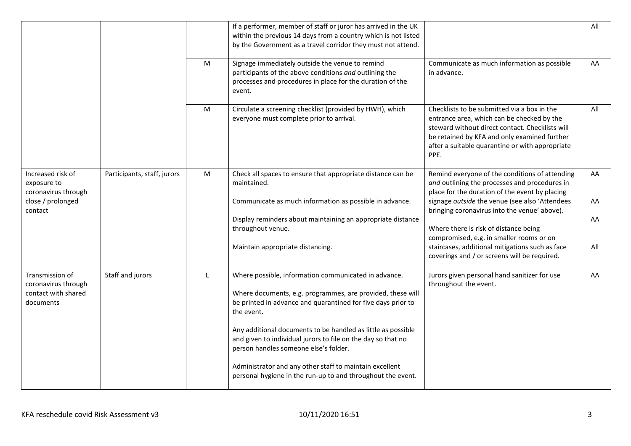|                                                                            |                             |           | If a performer, member of staff or juror has arrived in the UK<br>within the previous 14 days from a country which is not listed<br>by the Government as a travel corridor they must not attend. |                                                                                                                                                                                                                                                         | All |
|----------------------------------------------------------------------------|-----------------------------|-----------|--------------------------------------------------------------------------------------------------------------------------------------------------------------------------------------------------|---------------------------------------------------------------------------------------------------------------------------------------------------------------------------------------------------------------------------------------------------------|-----|
|                                                                            |                             | M         | Signage immediately outside the venue to remind<br>participants of the above conditions and outlining the<br>processes and procedures in place for the duration of the<br>event.                 | Communicate as much information as possible<br>in advance.                                                                                                                                                                                              | AA  |
|                                                                            |                             | ${\sf M}$ | Circulate a screening checklist (provided by HWH), which<br>everyone must complete prior to arrival.                                                                                             | Checklists to be submitted via a box in the<br>entrance area, which can be checked by the<br>steward without direct contact. Checklists will<br>be retained by KFA and only examined further<br>after a suitable quarantine or with appropriate<br>PPE. | All |
| Increased risk of<br>exposure to<br>coronavirus through                    | Participants, staff, jurors | ${\sf M}$ | Check all spaces to ensure that appropriate distance can be<br>maintained.                                                                                                                       | Remind everyone of the conditions of attending<br>and outlining the processes and procedures in<br>place for the duration of the event by placing                                                                                                       | AA  |
| close / prolonged<br>contact                                               |                             |           | Communicate as much information as possible in advance.                                                                                                                                          | signage outside the venue (see also 'Attendees<br>bringing coronavirus into the venue' above).                                                                                                                                                          | AA  |
|                                                                            |                             |           | Display reminders about maintaining an appropriate distance<br>throughout venue.                                                                                                                 | Where there is risk of distance being<br>compromised, e.g. in smaller rooms or on                                                                                                                                                                       | AA  |
|                                                                            |                             |           | Maintain appropriate distancing.                                                                                                                                                                 | staircases, additional mitigations such as face<br>coverings and / or screens will be required.                                                                                                                                                         | All |
| Transmission of<br>coronavirus through<br>contact with shared<br>documents | Staff and jurors            | L         | Where possible, information communicated in advance.<br>Where documents, e.g. programmes, are provided, these will<br>be printed in advance and quarantined for five days prior to<br>the event. | Jurors given personal hand sanitizer for use<br>throughout the event.                                                                                                                                                                                   | AA  |
|                                                                            |                             |           | Any additional documents to be handled as little as possible<br>and given to individual jurors to file on the day so that no<br>person handles someone else's folder.                            |                                                                                                                                                                                                                                                         |     |
|                                                                            |                             |           | Administrator and any other staff to maintain excellent<br>personal hygiene in the run-up to and throughout the event.                                                                           |                                                                                                                                                                                                                                                         |     |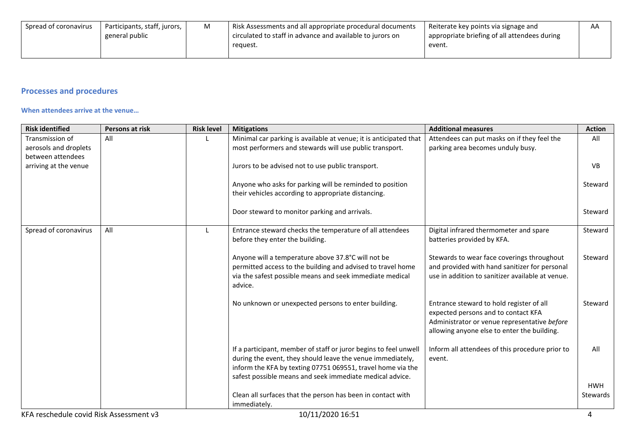| Spread of coronavirus | Participants, staff, jurors, | M | I Risk Assessments and all appropriate procedural documents | Reiterate key points via signage and         | AΑ |
|-----------------------|------------------------------|---|-------------------------------------------------------------|----------------------------------------------|----|
|                       | general public               |   | circulated to staff in advance and available to jurors on   | appropriate briefing of all attendees during |    |
|                       |                              |   | reguest.                                                    | event.                                       |    |
|                       |                              |   |                                                             |                                              |    |

## **Processes and procedures**

#### **When attendees arrive at the venue…**

| <b>Risk identified</b>                  | Persons at risk | <b>Risk level</b> | <b>Mitigations</b>                                                | <b>Additional measures</b>                                                      | <b>Action</b>        |
|-----------------------------------------|-----------------|-------------------|-------------------------------------------------------------------|---------------------------------------------------------------------------------|----------------------|
| Transmission of                         | All             |                   | Minimal car parking is available at venue; it is anticipated that | Attendees can put masks on if they feel the                                     | All                  |
| aerosols and droplets                   |                 |                   | most performers and stewards will use public transport.           | parking area becomes unduly busy.                                               |                      |
| between attendees                       |                 |                   |                                                                   |                                                                                 |                      |
| arriving at the venue                   |                 |                   | Jurors to be advised not to use public transport.                 |                                                                                 | <b>V<sub>B</sub></b> |
|                                         |                 |                   |                                                                   |                                                                                 |                      |
|                                         |                 |                   | Anyone who asks for parking will be reminded to position          |                                                                                 | Steward              |
|                                         |                 |                   | their vehicles according to appropriate distancing.               |                                                                                 |                      |
|                                         |                 |                   | Door steward to monitor parking and arrivals.                     |                                                                                 | Steward              |
|                                         |                 |                   |                                                                   |                                                                                 |                      |
| Spread of coronavirus                   | All             |                   | Entrance steward checks the temperature of all attendees          | Digital infrared thermometer and spare                                          | Steward              |
|                                         |                 |                   | before they enter the building.                                   | batteries provided by KFA.                                                      |                      |
|                                         |                 |                   |                                                                   |                                                                                 |                      |
|                                         |                 |                   | Anyone will a temperature above 37.8°C will not be                | Stewards to wear face coverings throughout                                      | Steward              |
|                                         |                 |                   | permitted access to the building and advised to travel home       | and provided with hand sanitizer for personal                                   |                      |
|                                         |                 |                   | via the safest possible means and seek immediate medical          | use in addition to sanitizer available at venue.                                |                      |
|                                         |                 |                   | advice.                                                           |                                                                                 |                      |
|                                         |                 |                   |                                                                   |                                                                                 |                      |
|                                         |                 |                   | No unknown or unexpected persons to enter building.               | Entrance steward to hold register of all<br>expected persons and to contact KFA | Steward              |
|                                         |                 |                   |                                                                   | Administrator or venue representative before                                    |                      |
|                                         |                 |                   |                                                                   | allowing anyone else to enter the building.                                     |                      |
|                                         |                 |                   |                                                                   |                                                                                 |                      |
|                                         |                 |                   | If a participant, member of staff or juror begins to feel unwell  | Inform all attendees of this procedure prior to                                 | All                  |
|                                         |                 |                   | during the event, they should leave the venue immediately,        | event.                                                                          |                      |
|                                         |                 |                   | inform the KFA by texting 07751 069551, travel home via the       |                                                                                 |                      |
|                                         |                 |                   | safest possible means and seek immediate medical advice.          |                                                                                 |                      |
|                                         |                 |                   |                                                                   |                                                                                 | <b>HWH</b>           |
|                                         |                 |                   | Clean all surfaces that the person has been in contact with       |                                                                                 | Stewards             |
|                                         |                 |                   | immediately.                                                      |                                                                                 |                      |
| KFA reschedule covid Risk Assessment v3 |                 |                   | 10/11/2020 16:51                                                  |                                                                                 | 4                    |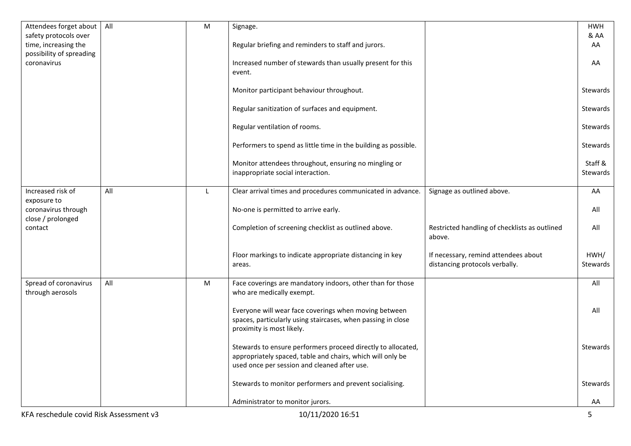| Attendees forget about                           | All | ${\sf M}$ | Signage.                                                                                                   |                                                                        | <b>HWH</b>      |
|--------------------------------------------------|-----|-----------|------------------------------------------------------------------------------------------------------------|------------------------------------------------------------------------|-----------------|
| safety protocols over                            |     |           |                                                                                                            |                                                                        | & AA            |
| time, increasing the<br>possibility of spreading |     |           | Regular briefing and reminders to staff and jurors.                                                        |                                                                        | AA              |
| coronavirus                                      |     |           | Increased number of stewards than usually present for this                                                 |                                                                        | AA              |
|                                                  |     |           | event.                                                                                                     |                                                                        |                 |
|                                                  |     |           |                                                                                                            |                                                                        |                 |
|                                                  |     |           | Monitor participant behaviour throughout.                                                                  |                                                                        | Stewards        |
|                                                  |     |           | Regular sanitization of surfaces and equipment.                                                            |                                                                        | Stewards        |
|                                                  |     |           |                                                                                                            |                                                                        |                 |
|                                                  |     |           | Regular ventilation of rooms.                                                                              |                                                                        | Stewards        |
|                                                  |     |           |                                                                                                            |                                                                        |                 |
|                                                  |     |           | Performers to spend as little time in the building as possible.                                            |                                                                        | <b>Stewards</b> |
|                                                  |     |           | Monitor attendees throughout, ensuring no mingling or                                                      |                                                                        | Staff &         |
|                                                  |     |           | inappropriate social interaction.                                                                          |                                                                        | <b>Stewards</b> |
|                                                  |     |           |                                                                                                            |                                                                        |                 |
| Increased risk of                                | All | L         | Clear arrival times and procedures communicated in advance.                                                | Signage as outlined above.                                             | AA              |
| exposure to<br>coronavirus through               |     |           | No-one is permitted to arrive early.                                                                       |                                                                        | All             |
| close / prolonged                                |     |           |                                                                                                            |                                                                        |                 |
| contact                                          |     |           | Completion of screening checklist as outlined above.                                                       | Restricted handling of checklists as outlined                          | All             |
|                                                  |     |           |                                                                                                            | above.                                                                 |                 |
|                                                  |     |           |                                                                                                            |                                                                        | HWH/            |
|                                                  |     |           | Floor markings to indicate appropriate distancing in key<br>areas.                                         | If necessary, remind attendees about<br>distancing protocols verbally. | Stewards        |
|                                                  |     |           |                                                                                                            |                                                                        |                 |
| Spread of coronavirus                            | All | ${\sf M}$ | Face coverings are mandatory indoors, other than for those                                                 |                                                                        | All             |
| through aerosols                                 |     |           | who are medically exempt.                                                                                  |                                                                        |                 |
|                                                  |     |           | Everyone will wear face coverings when moving between                                                      |                                                                        | All             |
|                                                  |     |           | spaces, particularly using staircases, when passing in close                                               |                                                                        |                 |
|                                                  |     |           | proximity is most likely.                                                                                  |                                                                        |                 |
|                                                  |     |           |                                                                                                            |                                                                        |                 |
|                                                  |     |           | Stewards to ensure performers proceed directly to allocated,                                               |                                                                        | Stewards        |
|                                                  |     |           | appropriately spaced, table and chairs, which will only be<br>used once per session and cleaned after use. |                                                                        |                 |
|                                                  |     |           |                                                                                                            |                                                                        |                 |
|                                                  |     |           | Stewards to monitor performers and prevent socialising.                                                    |                                                                        | Stewards        |
|                                                  |     |           |                                                                                                            |                                                                        |                 |
|                                                  |     |           | Administrator to monitor jurors.                                                                           |                                                                        | AA              |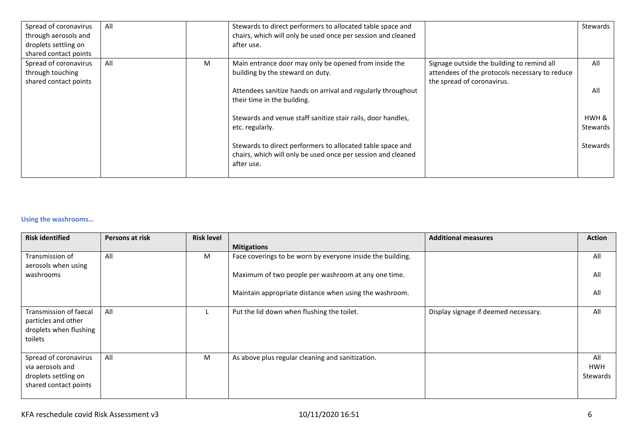| Spread of coronavirus | All |   | Stewards to direct performers to allocated table space and   |                                                | Stewards |
|-----------------------|-----|---|--------------------------------------------------------------|------------------------------------------------|----------|
| through aerosols and  |     |   | chairs, which will only be used once per session and cleaned |                                                |          |
| droplets settling on  |     |   | after use.                                                   |                                                |          |
| shared contact points |     |   |                                                              |                                                |          |
| Spread of coronavirus | All | M | Main entrance door may only be opened from inside the        | Signage outside the building to remind all     | All      |
| through touching      |     |   | building by the steward on duty.                             | attendees of the protocols necessary to reduce |          |
| shared contact points |     |   |                                                              | the spread of coronavirus.                     |          |
|                       |     |   | Attendees sanitize hands on arrival and regularly throughout |                                                | All      |
|                       |     |   | their time in the building.                                  |                                                |          |
|                       |     |   |                                                              |                                                |          |
|                       |     |   | Stewards and venue staff sanitize stair rails, door handles, |                                                | HWH &    |
|                       |     |   | etc. regularly.                                              |                                                | Stewards |
|                       |     |   |                                                              |                                                |          |
|                       |     |   | Stewards to direct performers to allocated table space and   |                                                | Stewards |
|                       |     |   | chairs, which will only be used once per session and cleaned |                                                |          |
|                       |     |   | after use.                                                   |                                                |          |
|                       |     |   |                                                              |                                                |          |

#### **Using the washrooms…**

| <b>Risk identified</b>                                                                     | Persons at risk | <b>Risk level</b> |                                                            | <b>Additional measures</b>           | <b>Action</b>                 |
|--------------------------------------------------------------------------------------------|-----------------|-------------------|------------------------------------------------------------|--------------------------------------|-------------------------------|
|                                                                                            |                 |                   | <b>Mitigations</b>                                         |                                      |                               |
| Transmission of<br>aerosols when using                                                     | All             | M                 | Face coverings to be worn by everyone inside the building. |                                      | All                           |
| washrooms                                                                                  |                 |                   | Maximum of two people per washroom at any one time.        |                                      | All                           |
|                                                                                            |                 |                   | Maintain appropriate distance when using the washroom.     |                                      | All                           |
| Transmission of faecal<br>particles and other<br>droplets when flushing<br>toilets         | All             |                   | Put the lid down when flushing the toilet.                 | Display signage if deemed necessary. | All                           |
| Spread of coronavirus<br>via aerosols and<br>droplets settling on<br>shared contact points | All             | M                 | As above plus regular cleaning and sanitization.           |                                      | All<br><b>HWH</b><br>Stewards |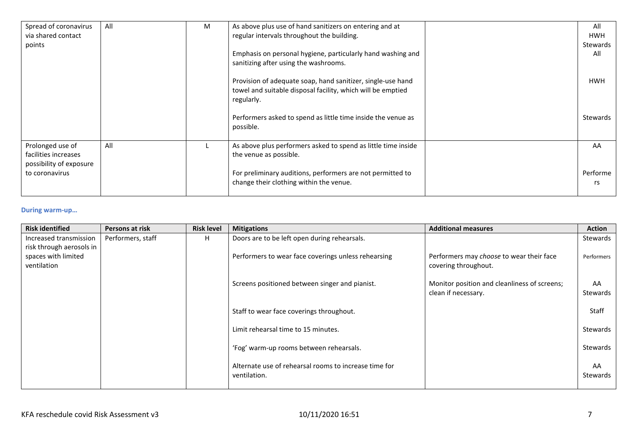| Spread of coronavirus<br>via shared contact                         | All | M | As above plus use of hand sanitizers on entering and at<br>regular intervals throughout the building.                                    | All<br><b>HWH</b> |
|---------------------------------------------------------------------|-----|---|------------------------------------------------------------------------------------------------------------------------------------------|-------------------|
| points                                                              |     |   | Emphasis on personal hygiene, particularly hand washing and<br>sanitizing after using the washrooms.                                     | Stewards<br>All   |
|                                                                     |     |   | Provision of adequate soap, hand sanitizer, single-use hand<br>towel and suitable disposal facility, which will be emptied<br>regularly. | <b>HWH</b>        |
|                                                                     |     |   | Performers asked to spend as little time inside the venue as<br>possible.                                                                | Stewards          |
| Prolonged use of<br>facilities increases<br>possibility of exposure | All |   | As above plus performers asked to spend as little time inside<br>the venue as possible.                                                  | AA                |
| to coronavirus                                                      |     |   | For preliminary auditions, performers are not permitted to<br>change their clothing within the venue.                                    | Performe<br>rs    |

#### **During warm-up…**

| <b>Risk identified</b>                                         | Persons at risk   | <b>Risk level</b> | <b>Mitigations</b>                                                    | <b>Additional measures</b>                                          | <b>Action</b>  |
|----------------------------------------------------------------|-------------------|-------------------|-----------------------------------------------------------------------|---------------------------------------------------------------------|----------------|
| Increased transmission                                         | Performers, staff | Н.                | Doors are to be left open during rehearsals.                          |                                                                     | Stewards       |
| risk through aerosols in<br>spaces with limited<br>ventilation |                   |                   | Performers to wear face coverings unless rehearsing                   | Performers may choose to wear their face<br>covering throughout.    | Performers     |
|                                                                |                   |                   | Screens positioned between singer and pianist.                        | Monitor position and cleanliness of screens;<br>clean if necessary. | AA<br>Stewards |
|                                                                |                   |                   | Staff to wear face coverings throughout.                              |                                                                     | Staff          |
|                                                                |                   |                   | Limit rehearsal time to 15 minutes.                                   |                                                                     | Stewards       |
|                                                                |                   |                   | 'Fog' warm-up rooms between rehearsals.                               |                                                                     | Stewards       |
|                                                                |                   |                   | Alternate use of rehearsal rooms to increase time for<br>ventilation. |                                                                     | AA<br>Stewards |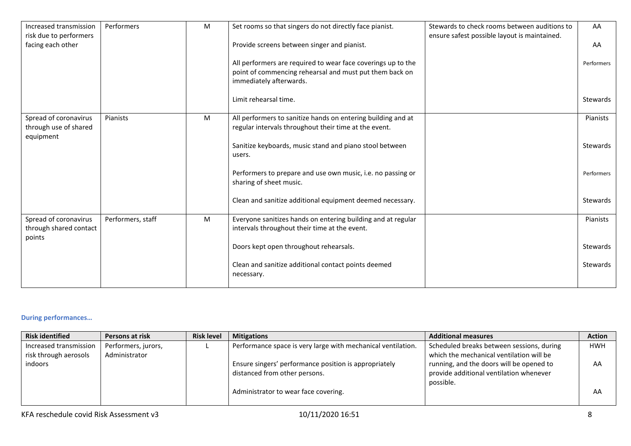| Increased transmission<br>risk due to performers            | Performers        | M | Set rooms so that singers do not directly face pianist.                                                                                            | Stewards to check rooms between auditions to<br>ensure safest possible layout is maintained. | AA              |
|-------------------------------------------------------------|-------------------|---|----------------------------------------------------------------------------------------------------------------------------------------------------|----------------------------------------------------------------------------------------------|-----------------|
| facing each other                                           |                   |   | Provide screens between singer and pianist.                                                                                                        |                                                                                              | AA              |
|                                                             |                   |   | All performers are required to wear face coverings up to the<br>point of commencing rehearsal and must put them back on<br>immediately afterwards. |                                                                                              | Performers      |
|                                                             |                   |   | Limit rehearsal time.                                                                                                                              |                                                                                              | Stewards        |
| Spread of coronavirus<br>through use of shared<br>equipment | Pianists          | M | All performers to sanitize hands on entering building and at<br>regular intervals throughout their time at the event.                              |                                                                                              | <b>Pianists</b> |
|                                                             |                   |   | Sanitize keyboards, music stand and piano stool between<br>users.                                                                                  |                                                                                              | Stewards        |
|                                                             |                   |   | Performers to prepare and use own music, i.e. no passing or<br>sharing of sheet music.                                                             |                                                                                              | Performers      |
|                                                             |                   |   | Clean and sanitize additional equipment deemed necessary.                                                                                          |                                                                                              | Stewards        |
| Spread of coronavirus<br>through shared contact<br>points   | Performers, staff | M | Everyone sanitizes hands on entering building and at regular<br>intervals throughout their time at the event.                                      |                                                                                              | Pianists        |
|                                                             |                   |   | Doors kept open throughout rehearsals.                                                                                                             |                                                                                              | Stewards        |
|                                                             |                   |   | Clean and sanitize additional contact points deemed<br>necessary.                                                                                  |                                                                                              | Stewards        |
|                                                             |                   |   |                                                                                                                                                    |                                                                                              |                 |

#### **During performances…**

| <b>Risk identified</b> | Persons at risk     | <b>Risk level</b> | <b>Mitigations</b>                                           | <b>Additional measures</b>                | <b>Action</b> |
|------------------------|---------------------|-------------------|--------------------------------------------------------------|-------------------------------------------|---------------|
| Increased transmission | Performers, jurors, |                   | Performance space is very large with mechanical ventilation. | Scheduled breaks between sessions, during | <b>HWH</b>    |
| risk through aerosols  | Administrator       |                   |                                                              | which the mechanical ventilation will be  |               |
| <i>indoors</i>         |                     |                   | Ensure singers' performance position is appropriately        | running, and the doors will be opened to  | AA            |
|                        |                     |                   | distanced from other persons.                                | provide additional ventilation whenever   |               |
|                        |                     |                   |                                                              | possible.                                 |               |
|                        |                     |                   | Administrator to wear face covering.                         |                                           | AA            |
|                        |                     |                   |                                                              |                                           |               |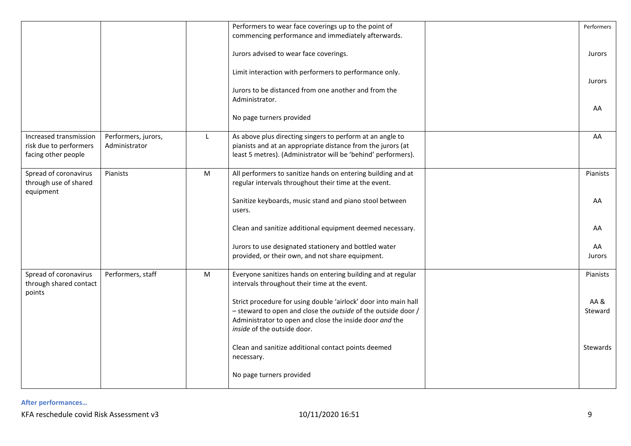|                                                                         |                                      |    | Performers to wear face coverings up to the point of                                                                                                                                                                       | Performers     |
|-------------------------------------------------------------------------|--------------------------------------|----|----------------------------------------------------------------------------------------------------------------------------------------------------------------------------------------------------------------------------|----------------|
|                                                                         |                                      |    | commencing performance and immediately afterwards.                                                                                                                                                                         |                |
|                                                                         |                                      |    | Jurors advised to wear face coverings.                                                                                                                                                                                     | <b>Jurors</b>  |
|                                                                         |                                      |    | Limit interaction with performers to performance only.                                                                                                                                                                     | <b>Jurors</b>  |
|                                                                         |                                      |    | Jurors to be distanced from one another and from the<br>Administrator.                                                                                                                                                     |                |
|                                                                         |                                      |    | No page turners provided                                                                                                                                                                                                   | AA             |
| Increased transmission<br>risk due to performers<br>facing other people | Performers, jurors,<br>Administrator | L. | As above plus directing singers to perform at an angle to<br>pianists and at an appropriate distance from the jurors (at<br>least 5 metres). (Administrator will be 'behind' performers).                                  | AA             |
| Spread of coronavirus<br>through use of shared                          | Pianists                             | M  | All performers to sanitize hands on entering building and at<br>regular intervals throughout their time at the event.                                                                                                      | Pianists       |
| equipment                                                               |                                      |    | Sanitize keyboards, music stand and piano stool between<br>users.                                                                                                                                                          | AA             |
|                                                                         |                                      |    | Clean and sanitize additional equipment deemed necessary.                                                                                                                                                                  | AA             |
|                                                                         |                                      |    | Jurors to use designated stationery and bottled water<br>provided, or their own, and not share equipment.                                                                                                                  | AA<br>Jurors   |
| Spread of coronavirus<br>through shared contact                         | Performers, staff                    | M  | Everyone sanitizes hands on entering building and at regular<br>intervals throughout their time at the event.                                                                                                              | Pianists       |
| points                                                                  |                                      |    | Strict procedure for using double 'airlock' door into main hall<br>- steward to open and close the outside of the outside door /<br>Administrator to open and close the inside door and the<br>inside of the outside door. | AA&<br>Steward |
|                                                                         |                                      |    | Clean and sanitize additional contact points deemed<br>necessary.                                                                                                                                                          | Stewards       |
|                                                                         |                                      |    | No page turners provided                                                                                                                                                                                                   |                |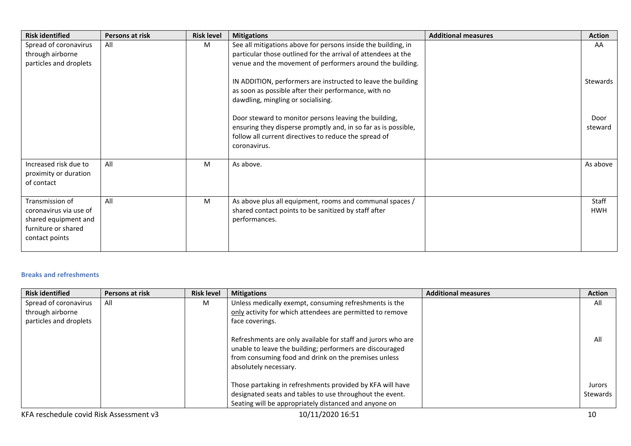| <b>Risk identified</b>                                                                                     | Persons at risk | <b>Risk level</b> | <b>Mitigations</b>                                                                                                                                                                               | <b>Additional measures</b> | <b>Action</b>       |
|------------------------------------------------------------------------------------------------------------|-----------------|-------------------|--------------------------------------------------------------------------------------------------------------------------------------------------------------------------------------------------|----------------------------|---------------------|
| Spread of coronavirus<br>through airborne<br>particles and droplets                                        | All             | M                 | See all mitigations above for persons inside the building, in<br>particular those outlined for the arrival of attendees at the<br>venue and the movement of performers around the building.      |                            | AA                  |
|                                                                                                            |                 |                   | IN ADDITION, performers are instructed to leave the building<br>as soon as possible after their performance, with no<br>dawdling, mingling or socialising.                                       |                            | Stewards            |
|                                                                                                            |                 |                   | Door steward to monitor persons leaving the building,<br>ensuring they disperse promptly and, in so far as is possible,<br>follow all current directives to reduce the spread of<br>coronavirus. |                            | Door<br>steward     |
| Increased risk due to<br>proximity or duration<br>of contact                                               | All             | M                 | As above.                                                                                                                                                                                        |                            | As above            |
| Transmission of<br>coronavirus via use of<br>shared equipment and<br>furniture or shared<br>contact points | All             | M                 | As above plus all equipment, rooms and communal spaces /<br>shared contact points to be sanitized by staff after<br>performances.                                                                |                            | Staff<br><b>HWH</b> |

#### **Breaks and refreshments**

| <b>Risk identified</b> | Persons at risk | <b>Risk level</b> | <b>Mitigations</b>                                                                                                                                                                                        | <b>Additional measures</b> | <b>Action</b> |
|------------------------|-----------------|-------------------|-----------------------------------------------------------------------------------------------------------------------------------------------------------------------------------------------------------|----------------------------|---------------|
| Spread of coronavirus  | All             | М                 | Unless medically exempt, consuming refreshments is the                                                                                                                                                    |                            | All           |
| through airborne       |                 |                   | only activity for which attendees are permitted to remove                                                                                                                                                 |                            |               |
| particles and droplets |                 |                   | face coverings.                                                                                                                                                                                           |                            |               |
|                        |                 |                   | Refreshments are only available for staff and jurors who are<br>unable to leave the building; performers are discouraged<br>from consuming food and drink on the premises unless<br>absolutely necessary. |                            | All           |
|                        |                 |                   | Those partaking in refreshments provided by KFA will have                                                                                                                                                 |                            | Jurors        |
|                        |                 |                   | designated seats and tables to use throughout the event.                                                                                                                                                  |                            | Stewards      |
|                        |                 |                   | Seating will be appropriately distanced and anyone on                                                                                                                                                     |                            |               |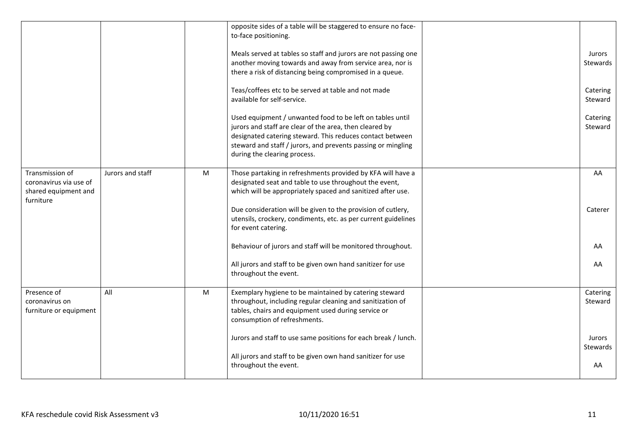| opposite sides of a table will be staggered to ensure no face-<br>to-face positioning.<br>Meals served at tables so staff and jurors are not passing one<br>Jurors<br>another moving towards and away from service area, nor is<br>Stewards<br>there a risk of distancing being compromised in a queue.<br>Teas/coffees etc to be served at table and not made<br>Catering<br>available for self-service.<br>Steward<br>Used equipment / unwanted food to be left on tables until<br>Catering<br>jurors and staff are clear of the area, then cleared by<br>Steward<br>designated catering steward. This reduces contact between<br>steward and staff / jurors, and prevents passing or mingling<br>during the clearing process.<br>Transmission of<br>Jurors and staff<br>M<br>Those partaking in refreshments provided by KFA will have a<br>AA<br>designated seat and table to use throughout the event,<br>coronavirus via use of<br>which will be appropriately spaced and sanitized after use.<br>shared equipment and<br>furniture<br>Due consideration will be given to the provision of cutlery,<br>Caterer<br>utensils, crockery, condiments, etc. as per current guidelines<br>for event catering.<br>Behaviour of jurors and staff will be monitored throughout.<br>AA<br>All jurors and staff to be given own hand sanitizer for use<br>AA<br>throughout the event.<br>Presence of<br>All<br>M<br>Exemplary hygiene to be maintained by catering steward<br>Catering<br>throughout, including regular cleaning and sanitization of<br>Steward<br>coronavirus on<br>tables, chairs and equipment used during service or<br>furniture or equipment<br>consumption of refreshments.<br>Jurors and staff to use same positions for each break / lunch.<br>Jurors<br>Stewards<br>All jurors and staff to be given own hand sanitizer for use<br>throughout the event.<br>AA |  |  |  |
|-------------------------------------------------------------------------------------------------------------------------------------------------------------------------------------------------------------------------------------------------------------------------------------------------------------------------------------------------------------------------------------------------------------------------------------------------------------------------------------------------------------------------------------------------------------------------------------------------------------------------------------------------------------------------------------------------------------------------------------------------------------------------------------------------------------------------------------------------------------------------------------------------------------------------------------------------------------------------------------------------------------------------------------------------------------------------------------------------------------------------------------------------------------------------------------------------------------------------------------------------------------------------------------------------------------------------------------------------------------------------------------------------------------------------------------------------------------------------------------------------------------------------------------------------------------------------------------------------------------------------------------------------------------------------------------------------------------------------------------------------------------------------------------------------------------------------------------------------------------------------------------|--|--|--|
|                                                                                                                                                                                                                                                                                                                                                                                                                                                                                                                                                                                                                                                                                                                                                                                                                                                                                                                                                                                                                                                                                                                                                                                                                                                                                                                                                                                                                                                                                                                                                                                                                                                                                                                                                                                                                                                                                     |  |  |  |
|                                                                                                                                                                                                                                                                                                                                                                                                                                                                                                                                                                                                                                                                                                                                                                                                                                                                                                                                                                                                                                                                                                                                                                                                                                                                                                                                                                                                                                                                                                                                                                                                                                                                                                                                                                                                                                                                                     |  |  |  |
|                                                                                                                                                                                                                                                                                                                                                                                                                                                                                                                                                                                                                                                                                                                                                                                                                                                                                                                                                                                                                                                                                                                                                                                                                                                                                                                                                                                                                                                                                                                                                                                                                                                                                                                                                                                                                                                                                     |  |  |  |
|                                                                                                                                                                                                                                                                                                                                                                                                                                                                                                                                                                                                                                                                                                                                                                                                                                                                                                                                                                                                                                                                                                                                                                                                                                                                                                                                                                                                                                                                                                                                                                                                                                                                                                                                                                                                                                                                                     |  |  |  |
|                                                                                                                                                                                                                                                                                                                                                                                                                                                                                                                                                                                                                                                                                                                                                                                                                                                                                                                                                                                                                                                                                                                                                                                                                                                                                                                                                                                                                                                                                                                                                                                                                                                                                                                                                                                                                                                                                     |  |  |  |
|                                                                                                                                                                                                                                                                                                                                                                                                                                                                                                                                                                                                                                                                                                                                                                                                                                                                                                                                                                                                                                                                                                                                                                                                                                                                                                                                                                                                                                                                                                                                                                                                                                                                                                                                                                                                                                                                                     |  |  |  |
|                                                                                                                                                                                                                                                                                                                                                                                                                                                                                                                                                                                                                                                                                                                                                                                                                                                                                                                                                                                                                                                                                                                                                                                                                                                                                                                                                                                                                                                                                                                                                                                                                                                                                                                                                                                                                                                                                     |  |  |  |
|                                                                                                                                                                                                                                                                                                                                                                                                                                                                                                                                                                                                                                                                                                                                                                                                                                                                                                                                                                                                                                                                                                                                                                                                                                                                                                                                                                                                                                                                                                                                                                                                                                                                                                                                                                                                                                                                                     |  |  |  |
|                                                                                                                                                                                                                                                                                                                                                                                                                                                                                                                                                                                                                                                                                                                                                                                                                                                                                                                                                                                                                                                                                                                                                                                                                                                                                                                                                                                                                                                                                                                                                                                                                                                                                                                                                                                                                                                                                     |  |  |  |
|                                                                                                                                                                                                                                                                                                                                                                                                                                                                                                                                                                                                                                                                                                                                                                                                                                                                                                                                                                                                                                                                                                                                                                                                                                                                                                                                                                                                                                                                                                                                                                                                                                                                                                                                                                                                                                                                                     |  |  |  |
|                                                                                                                                                                                                                                                                                                                                                                                                                                                                                                                                                                                                                                                                                                                                                                                                                                                                                                                                                                                                                                                                                                                                                                                                                                                                                                                                                                                                                                                                                                                                                                                                                                                                                                                                                                                                                                                                                     |  |  |  |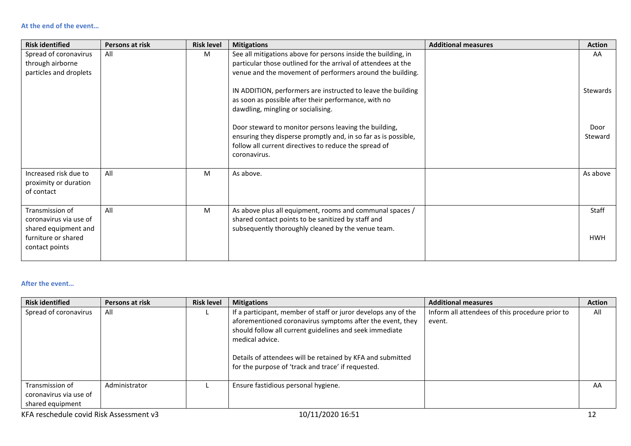| <b>Risk identified</b>                                                                                     | Persons at risk | <b>Risk level</b> | <b>Mitigations</b>                                                                                                                                                                               | <b>Additional measures</b> | <b>Action</b>       |
|------------------------------------------------------------------------------------------------------------|-----------------|-------------------|--------------------------------------------------------------------------------------------------------------------------------------------------------------------------------------------------|----------------------------|---------------------|
| Spread of coronavirus<br>through airborne                                                                  | All             | M                 | See all mitigations above for persons inside the building, in<br>particular those outlined for the arrival of attendees at the                                                                   |                            | AA                  |
| particles and droplets                                                                                     |                 |                   | venue and the movement of performers around the building.                                                                                                                                        |                            |                     |
|                                                                                                            |                 |                   | IN ADDITION, performers are instructed to leave the building<br>as soon as possible after their performance, with no<br>dawdling, mingling or socialising.                                       |                            | Stewards            |
|                                                                                                            |                 |                   | Door steward to monitor persons leaving the building,<br>ensuring they disperse promptly and, in so far as is possible,<br>follow all current directives to reduce the spread of<br>coronavirus. |                            | Door<br>Steward     |
| Increased risk due to<br>proximity or duration<br>of contact                                               | All             | M                 | As above.                                                                                                                                                                                        |                            | As above            |
| Transmission of<br>coronavirus via use of<br>shared equipment and<br>furniture or shared<br>contact points | All             | M                 | As above plus all equipment, rooms and communal spaces /<br>shared contact points to be sanitized by staff and<br>subsequently thoroughly cleaned by the venue team.                             |                            | Staff<br><b>HWH</b> |

#### **After the event…**

| <b>Risk identified</b>                                        | Persons at risk | <b>Risk level</b> | <b>Mitigations</b>                                                                                                                                                                                                                                                                                                            | <b>Additional measures</b>                                | <b>Action</b> |
|---------------------------------------------------------------|-----------------|-------------------|-------------------------------------------------------------------------------------------------------------------------------------------------------------------------------------------------------------------------------------------------------------------------------------------------------------------------------|-----------------------------------------------------------|---------------|
| Spread of coronavirus                                         | All             |                   | If a participant, member of staff or juror develops any of the<br>aforementioned coronavirus symptoms after the event, they<br>should follow all current guidelines and seek immediate<br>medical advice.<br>Details of attendees will be retained by KFA and submitted<br>for the purpose of 'track and trace' if requested. | Inform all attendees of this procedure prior to<br>event. | All           |
| Transmission of<br>coronavirus via use of<br>shared equipment | Administrator   |                   | Ensure fastidious personal hygiene.                                                                                                                                                                                                                                                                                           |                                                           | AA            |
| KFA reschedule covid Risk Assessment v3                       |                 |                   | 10/11/2020 16:51                                                                                                                                                                                                                                                                                                              |                                                           |               |